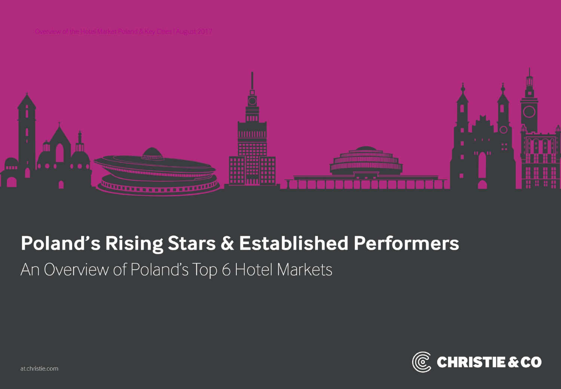

# **Poland's Rising Stars & Established Performers**

An Overview of Poland's Top 6 Hotel Markets

![](_page_0_Picture_4.jpeg)

at.christie.com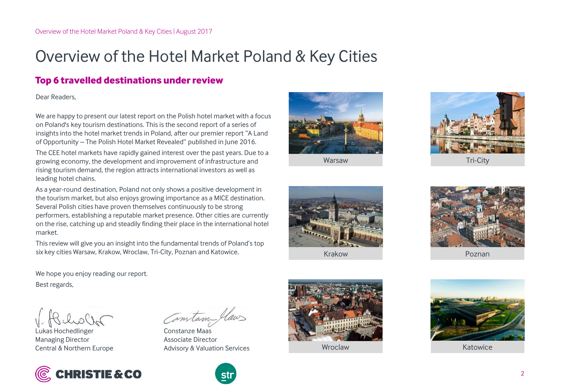## Overview of the Hotel Market Poland & Key Cities

### **Top 6 travelled destinations under review**

Dear Readers,

We are happy to present our latest report on the Polish hotel market with a focus on Poland's key tourism destinations. This is the second report of a series of insights into the hotel market trends in Poland, after our premier report "A Land of Opportunity – The Polish Hotel Market Revealed" published in June 2016.

The CEE hotel markets have rapidly gained interest over the past years. Due to a growing economy, the development and improvement of infrastructure and rising tourism demand, the region attracts international investors as well as leading hotel chains.

As a year-round destination, Poland not only shows a positive development in the tourism market, but also enjoys growing importance as a MICE destination. Several Polish cities have proven themselves continuously to be strong performers, establishing a reputable market presence. Other cities are currently on the rise, catching up and steadily finding their place in the international hotel market.

This review will give you an insight into the fundamental trends of Poland's top six key cities Warsaw, Krakow, Wroclaw, Tri-City, Poznan and Katowice.

We hope you enjoy reading our report. Best regards,

Lukas Hochedlinger Managing Director Central & Northern Europe

![](_page_1_Picture_11.jpeg)

Constan law

Constanze Maas Associate Director Advisory & Valuation Services

![](_page_1_Picture_14.jpeg)

![](_page_1_Picture_15.jpeg)

Warsaw

![](_page_1_Picture_17.jpeg)

Tri-City

![](_page_1_Picture_19.jpeg)

Krakow

Wroclaw

![](_page_1_Picture_21.jpeg)

Poznan

![](_page_1_Picture_23.jpeg)

Katowice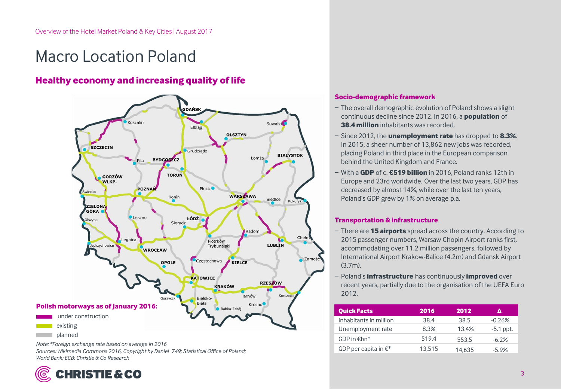## Macro Location Poland

### **Healthy economy and increasing quality of life**

![](_page_2_Figure_3.jpeg)

*Note: \*Foreign exchange rate based on average in 2016 Sources: Wikimedia Commons 2016, Copyright by Daniel 749; Statistical Office of Poland; World Bank; ECB; Christie & Co Research*

![](_page_2_Picture_5.jpeg)

#### **Socio-demographic framework**

- − The overall demographic evolution of Poland shows a slight continuous decline since 2012. In 2016, a **population** of **38.4 million** inhabitants was recorded.
- − Since 2012, the **unemployment rate** has dropped to **8.3%**. In 2015, a sheer number of 13,862 new jobs was recorded, placing Poland in third place in the European comparison behind the United Kingdom and France.
- − With a **GDP** of c. **€519 billion** in 2016, Poland ranks 12th in Europe and 23rd worldwide. Over the last two years, GDP has decreased by almost 14%, while over the last ten years, Poland's GDP grew by 1% on average p.a.

#### **Transportation & infrastructure**

- − There are **15 airports** spread across the country. According to 2015 passenger numbers, Warsaw Chopin Airport ranks first, accommodating over 11.2 million passengers, followed by International Airport Krakow-Balice (4.2m) and Gdansk Airport (3.7m).
- − Poland's **infrastructure** has continuously **improved** over recent years, partially due to the organisation of the UEFA Euro 2012.

| <b>Quick Facts</b>      | 2016   | 2012   |             |
|-------------------------|--------|--------|-------------|
| Inhabitants in million  | 38.4   | 38.5   | $-0.26%$    |
| Unemployment rate       | 8.3%   | 13.4%  | $-5.1$ ppt. |
| GDP in $Ebn*$           | 519.4  | 553.5  | $-6.2\%$    |
| GDP per capita in $E^*$ | 13.515 | 14.635 | $-5.9%$     |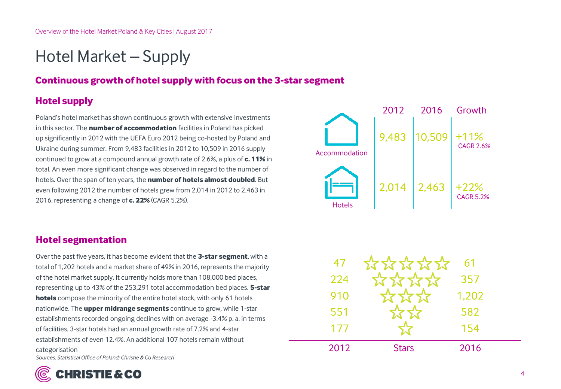## Hotel Market – Supply

### **Continuous growth of hotel supply with focus on the 3-star segment**

## **Hotel supply**

Poland's hotel market has shown continuous growth with extensive investments in this sector. The **number of accommodation** facilities in Poland has picked up significantly in 2012 with the UEFA Euro 2012 being co-hosted by Poland and Ukraine during summer. From 9,483 facilities in 2012 to 10,509 in 2016 supply continued to grow at a compound annual growth rate of 2.6%, a plus of **c. 11%** in total. An even more significant change was observed in regard to the number of hotels. Over the span of ten years, the **number of hotels almost doubled**. But even following 2012 the number of hotels grew from 2,014 in 2012 to 2,463 in 2016, representing a change of **c. 22%** (CAGR 5.2%).

### **Hotel segmentation**

Over the past five years, it has become evident that the **3-star segment**, with a total of 1,202 hotels and a market share of 49% in 2016, represents the majority of the hotel market supply. It currently holds more than 108,000 bed places, representing up to 43% of the 253,291 total accommodation bed places. **5-star hotels** compose the minority of the entire hotel stock, with only 61 hotels nationwide. The **upper midrange segments** continue to grow, while 1-star establishments recorded ongoing declines with on average -3.4% p. a. in terms of facilities. 3-star hotels had an annual growth rate of 7.2% and 4-star establishments of even 12.4%. An additional 107 hotels remain without categorisation *Sources: Statistical Office of Poland; Christie & Co Research*

![](_page_3_Picture_7.jpeg)

| 47   |              | 61    |  |
|------|--------------|-------|--|
| 224  | 777777       | 357   |  |
| 910  |              | 1,202 |  |
| 551  |              | 582   |  |
| 177  |              | 154   |  |
| 2012 | <b>Stars</b> | 2016  |  |

![](_page_3_Picture_9.jpeg)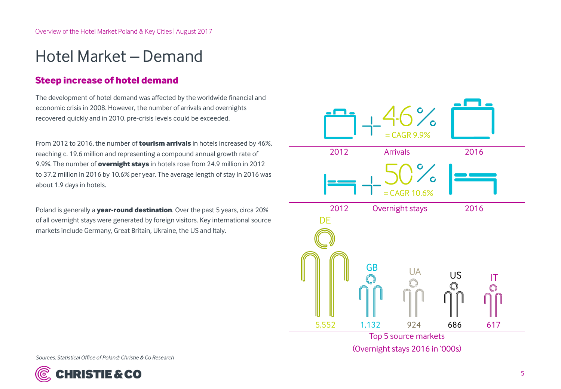## Hotel Market – Demand

### **Steep increase of hotel demand**

The development of hotel demand was affected by the worldwide financial and economic crisis in 2008. However, the number of arrivals and overnights recovered quickly and in 2010, pre-crisis levels could be exceeded.

From 2012 to 2016, the number of **tourism arrivals** in hotels increased by 46%, reaching c. 19.6 million and representing a compound annual growth rate of 9.9%. The number of **overnight stays** in hotels rose from 24.9 million in 2012 to 37.2 million in 2016 by 10.6% per year. The average length of stay in 2016 was about 1.9 days in hotels.

Poland is generally a **year-round destination**. Over the past 5 years, circa 20% of all overnight stays were generated by foreign visitors. Key international source markets include Germany, Great Britain, Ukraine, the US and Italy.

2012 Arrivals 2016 2012 Overnight stays 2016  $=$  CAGR 9.9%  $CAGR 10.$ Top 5 source markets (Overnight stays 2016 in '000s) **DF** GB U<sub>S</sub> 5,552 1,132 924 686 617 UA

![](_page_4_Picture_7.jpeg)

![](_page_4_Picture_8.jpeg)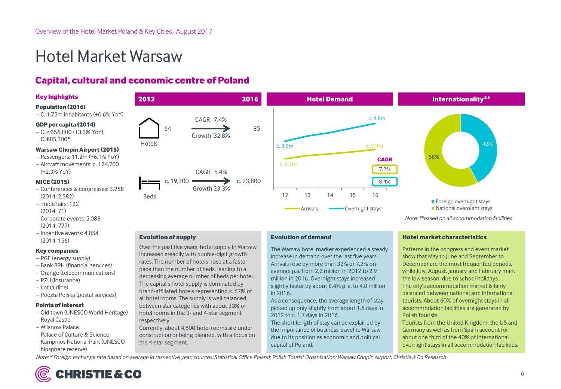## Hotel Market Warsaw

### **Capital, cultural and economic centre of Poland**

#### **Key highlights**

#### **Population (2016)**

C. 1.75m inhabitants (+0.6% YoY)

#### **GDP per capita (2014)**

 $-$  C. zł356,800 (+3.3% YoY) C. €85,300<sup>\*</sup>

#### **Warsaw Chopin Airport (2015)**

- Passengers: 11.2m (+6.1% YoY)
- Aircraft movements: c. 124,700 (+2.3% YoY)

#### **MICE (2015)**

- Conferences & congresses: 3,258 (2014: 2,582)
- $-$  Trade fairs: 122 (2014: 71)
- Corporate events: 5,088 (2014: 777)
- Incentive events: 4,854 (2014: 156)

#### **Key companies**

- PGE (energy supply)
- Bank BPH (financial services)
- Orange (telecommunications)
- PZU (insurance)
- Lot (airline)
- Poczta Polska (postal services)

#### **Points of interest**

- Old town (UNESCO World Heritage)
- Royal Castle
- Wilanow Palace
- Palace of Culture & Science
- Kampinos National Park (UNESCO biosphere reserve)

![](_page_5_Figure_29.jpeg)

![](_page_5_Figure_30.jpeg)

![](_page_5_Figure_31.jpeg)

#### **Evolution of supply**

Over the past five years, hotel supply in Warsaw increased steadily with double-digit growth rates. The number of hotels rose at a faster pace than the number of beds, leading to a decreasing average number of beds per hotel. The capital's hotel supply is dominated by brand-affiliated hotels representing c. 67% of all hotel rooms. The supply is well balanced between star categories with about 30% of hotel rooms in the 3- and 4-star segment respectively.

Currently, about 4,600 hotel rooms are under construction or being planned, with a focus on the 4-star segment.

#### **Evolution of demand**

The Warsaw hotel market experienced a steady increase in demand over the last five years. Arrivals rose by more than 32% or 7.2% on average p.a. from 2.2 million in 2012 to 2.9 million in 2016. Overnight stays increased slightly faster by about 8.4% p. a. to 4.8 million in 2016.

As a consequence, the average length of stay picked up only slightly from about 1.6 days in 2012 to c. 1.7 days in 2016.

The short length of stay can be explained by the importance of business travel to Warsaw due to its position as economic and political capital of Poland.

#### **Hotel market characteristics**

Patterns in the congress end event market show that May to June and September to December are the most frequented periods, while July, August, January and February mark the low season, due to school holidays. The city's accommodation market is fairly balanced between national and international tourists. About 60% of overnight stays in all accommodation facilities are generated by Polish tourists.

*Note: \*\*based on all accommodation facilities*

Tourists from the United Kingdom, the US and Germany as well as from Spain account for about one third of the 40% of international overnight stays in all accommodation facilities.

*Note: \* Foreign exchange rate based on average in respective year; sources: Statistical Office Poland; Polish Tourist Organisation; Warsaw Chopin Airport; Christie & Co Research*

![](_page_5_Picture_43.jpeg)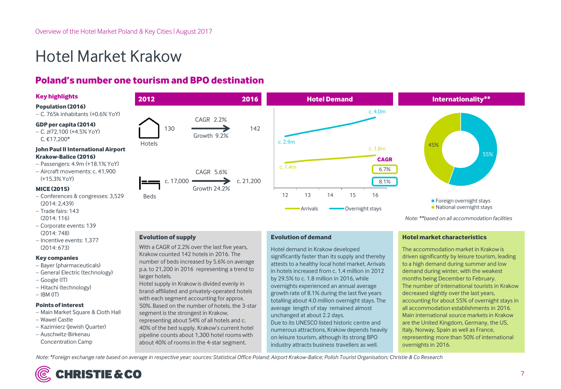## Hotel Market Krakow

### **Poland's number one tourism and BPO destination**

#### **Key highlights**

#### **Population (2016)**

 $-C.$  765k inhabitants  $(+0.6\%$  YoY)

#### **GDP per capita (2014)**

 $-$  C. zł72,100 (+4.5% YoY) C. €17,200\*

#### **John Paul II International Airport Krakow-Balice (2016)**

- Passengers: 4.9m (+18.1% YoY)
- Aircraft movements: c. 41,900 (+15.3% YoY)

#### **MICE (2015)**

- Conferences & congresses: 3,529 (2014: 2,439)
- $-$  Trade fairs: 143 (2014: 116)
- Corporate events: 139 (2014: 748)
- Incentive events: 1,377 (2014: 673)

#### **Key companies**

- Bayer (pharmaceuticals)
- General Electric (technology)
- Google (IT)
- Hitachi (technology)
- $-IBM$  (IT)

#### **Points of interest**

- Main Market Square & Cloth Hall
- Wawel Castle
- Kazimierz (Jewish Quarter)
- Auschwitz-Birkenau Concentration Camp

![](_page_6_Figure_27.jpeg)

![](_page_6_Figure_28.jpeg)

![](_page_6_Figure_29.jpeg)

#### **Evolution of supply**

With a CAGR of 2.2% over the last five years, Krakow counted 142 hotels in 2016. The number of beds increased by 5.6% on average p.a. to 21,200 in 2016 representing a trend to larger hotels.

Hotel supply in Krakow is divided evenly in brand-affiliated and privately-operated hotels with each segment accounting for approx. 50%. Based on the number of hotels, the 3-star segment is the strongest in Krakow, representing about 54% of all hotels and c. 40% of the bed supply. Krakow's current hotel pipeline counts about 1,300 hotel rooms with

about 40% of rooms in the 4-star segment.

#### **Evolution of demand**

Hotel demand in Krakow developed significantly faster than its supply and thereby attests to a healthy local hotel market. Arrivals in hotels increased from c. 1.4 million in 2012 by 29.5% to c. 1.8 million in 2016, while overnights experienced an annual average growth rate of 8.1% during the last five years totalling about 4.0 million overnight stays. The average length of stay remained almost unchanged at about 2.2 days. Due to its UNESCO listed historic centre and numerous attractions, Krakow depends heavily on leisure tourism, although its strong BPO industry attracts business travellers as well.

#### **Hotel market characteristics**

The accommodation market in Krakow is driven significantly by leisure tourism, leading to a high demand during summer and low demand during winter, with the weakest months being December to February. The number of international tourists in Krakow decreased slightly over the last years, accounting for about 55% of overnight stays in all accommodation establishments in 2016. Main international source markets in Krakow are the United Kingdom, Germany, the US, Italy, Norway, Spain as well as France, representing more than 50% of international overnights in 2016.

*Note: \*Foreign exchange rate based on average in respective year; sources: Statistical Office Poland; Airport Krakow-Balice; Polish Tourist Organisation; Christie & Co Research*

![](_page_6_Picture_38.jpeg)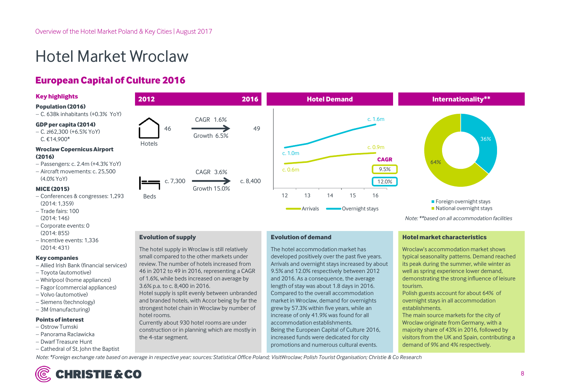## Hotel Market Wroclaw

### **European Capital of Culture 2016**

#### **Key highlights**

#### **Population (2016)**

 $-C. 638k$  inhabitants  $(+0.3\%$  YoY)

#### **GDP per capita (2014)**

 $-$  C. zł62.300 (+6.5% YoY) C. €14,900\*

#### **Wroclaw Copernicus Airport (2016)**

- Passengers: c. 2.4m (+4.3% YoY)
- Aircraft movements: c. 25,500 (4.0% YoY)

#### **MICE (2015)**

- Conferences & congresses: 1,293 (2014: 1,359)
- Trade fairs: 100 (2014: 146)
- Corporate events: 0 (2014: 855)
- Incentive events: 1,336 (2014: 431)

#### **Key companies**

- Allied Irish Bank (financial services)
- Toyota (automotive)
- Whirlpool (home appliances)
- Fagor (commercial appliances)
- Volvo (automotive)
- Siemens (technology)
- 3M (manufacturing)

#### **Points of interest**

- Ostrow Tumski
- Panorama Raclawicka
- Dwarf Treasure Hunt
- Cathedral of St. John the Baptist

![](_page_7_Figure_29.jpeg)

#### **Evolution of supply**

The hotel supply in Wroclaw is still relatively small compared to the other markets under review. The number of hotels increased from 46 in 2012 to 49 in 2016, representing a CAGR of 1.6%, while beds increased on average by 3.6% p.a. to c. 8,400 in 2016.

Hotel supply is split evenly between unbranded and branded hotels, with Accor being by far the strongest hotel chain in Wroclaw by number of hotel rooms.

Currently about 930 hotel rooms are under construction or in planning which are mostly in the 4-star segment.

#### **Evolution of demand**

The hotel accommodation market has developed positively over the past five years. Arrivals and overnight stays increased by about 9.5% and 12.0% respectively between 2012 and 2016. As a consequence, the average length of stay was about 1.8 days in 2016. Compared to the overall accommodation market in Wroclaw, demand for overnights grew by 57.3% within five years, while an increase of only 41.9% was found for all accommodation establishments. Being the European Capital of Culture 2016, increased funds were dedicated for city promotions and numerous cultural events.

#### **Hotel market characteristics**

Wroclaw's accommodation market shows typical seasonality patterns. Demand reached its peak during the summer, while winter as well as spring experience lower demand, demonstrating the strong influence of leisure tourism.

Polish guests account for about 64% of overnight stays in all accommodation establishments.

The main source markets for the city of Wroclaw originate from Germany, with a majority share of 43% in 2016, followed by visitors from the UK and Spain, contributing a demand of 9% and 4% respectively.

*Note: \*Foreign exchange rate based on average in respective year; sources: Statistical Office Poland; VisitWroclaw; Polish Tourist Organisation; Christie & Co Research*

![](_page_7_Picture_41.jpeg)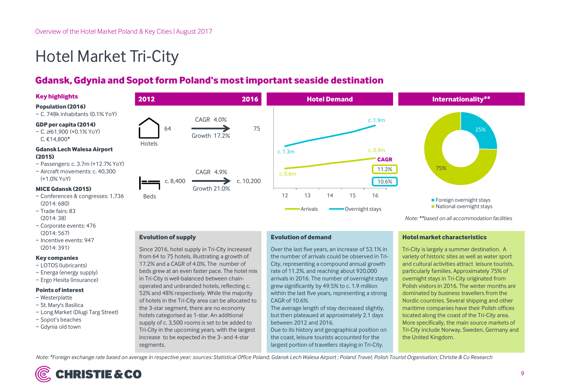## Hotel Market Tri-City

### **Gdansk, Gdynia and Sopotform Poland's mostimportant seaside destination**

#### **Key highlights**

#### **Population (2016)**

− C. 748k inhabitants (0.1% YoY)

#### **GDP per capita (2014)**

− C. zł61,900 (+0.1% YoY) C. €14,800\*

#### **Gdansk Lech Walesa Airport (2015)**

- − Passengers: c. 3.7m (+12.7% YoY)
- − Aircraft movements: c. 40,300 (+1.0% YoY)

#### **MICE Gdansk (2015)**

- − Conferences & congresses: 1,736 (2014: 680)
- − Trade fairs: 83 (2014: 38)
- − Corporate events: 476 (2014: 567)
- − Incentive events: 947 (2014: 391)

#### **Key companies**

- − LOTOS (lubricants)
- − Energa (energy supply)
- − Ergo Hesita (insurance)

#### **Points of interest**

- − Westerplatte
- − St. Mary's Basilica
- − Long Market (Dlugi Targ Street)
- − Sopot's beaches
- − Gdynia old town

![](_page_8_Figure_26.jpeg)

![](_page_8_Figure_27.jpeg)

![](_page_8_Figure_28.jpeg)

*Note: \*\*based on all accommodation facilities*

#### **Evolution of supply**

Since 2016, hotel supply in Tri-City increased from 64 to 75 hotels, illustrating a growth of 17.2% and a CAGR of 4.0%. The number of beds grew at an even faster pace. The hotel mix in Tri-City is well-balanced between chainoperated and unbranded hotels, reflecting c. 52% and 48% respectively. While the majority of hotels in the Tri-City area can be allocated to the 3-star segment, there are no economy hotels categorised as 1-star. An additional supply of c. 3,500 rooms is set to be added to Tri-City in the upcoming years, with the largest increase to be expected in the 3- and 4-star segments.

#### **Evolution of demand**

Over the last five years, an increase of 53.1% in the number of arrivals could be observed in Tri-City, representing a compound annual growth rate of 11.2%. and reaching about 920,000 arrivals in 2016. The number of overnight stays grew significantly by 49.5% to c. 1.9 million within the last five years, representing a strong CAGR of 10.6%.

The average length of stay decreased slightly, but then plateaued at approximately 2.1 days between 2012 and 2016.

Due to its history and geographical position on the coast, leisure tourists accounted for the largest portion of travellers staying in Tri-City.

#### **Hotel market characteristics**

Tri-City is largely a summer destination. A variety of historic sites as well as water sport and cultural activities attract leisure tourists, particularly families. Approximately 75% of overnight stays in Tri-City originated from Polish visitors in 2016. The winter months are dominated by business travellers from the Nordic countries. Several shipping and other maritime companies have their Polish offices located along the coast of the Tri-City area. More specifically, the main source markets of Tri-City include Norway, Sweden, Germany and the United Kingdom.

*Note: \*Foreign exchange rate based on average in respective year; sources: Statistical Office Poland; Gdansk Lech Walesa Airport ; Poland Travel; Polish Tourist Organisation; Christie & Co Research*

![](_page_8_Picture_39.jpeg)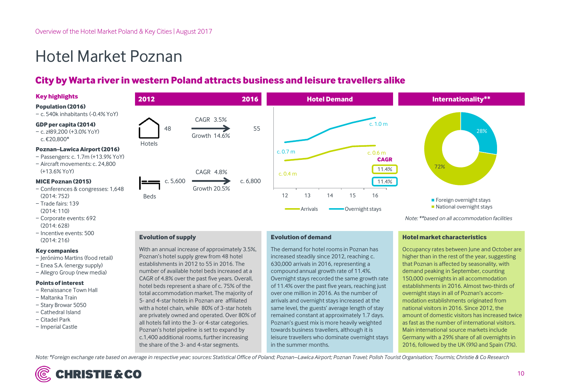## Hotel Market Poznan

### **City by Warta river in western Poland attracts business and leisure travellers alike**

#### **Key highlights**

#### **Population (2016)**

− c. 540k inhabitants (-0.4% YoY)

#### **GDP per capita (2014)**

− c. zł89,200 (+3.0% YoY) c. €20,800\*

#### **Poznan–LawicaAirport (2016)**

- − Passengers: c. 1.7m (+13.9% YoY)
- − Aircraft movements: c. 24,800 (+13.6% YoY)

#### **MICE Poznan (2015)**

- − Conferences & congresses: 1,648 (2014: 752)
- − Trade fairs: 139 (2014: 110)
- − Corporate events: 692 (2014: 628)
- − Incentive events: 500 (2014: 216)

#### **Key companies**

- − Jerónimo Martins (food retail)
- − Enea S.A. (energy supply)
- − Allegro Group (new media)

#### **Points of interest**

- − Renaissance Town Hall
- − Maltanka Train
- − Stary Browar 5050
- − Cathedral Island
- − Citadel Park
- − Imperial Castle

![](_page_9_Figure_27.jpeg)

Beds

![](_page_9_Figure_28.jpeg)

**Evolution of supply**

With an annual increase of approximately 3.5%, Poznan's hotel supply grew from 48 hotel establishments in 2012 to 55 in 2016. The number of available hotel beds increased at a CAGR of 4.8% over the past five years. Overall, hotel beds represent a share of c. 75% of the total accommodation market. The majority of 5- and 4-star hotels in Poznan are affiliated with a hotel chain, while 80% of 3-star hotels are privately owned and operated. Over 80% of all hotels fall into the 3- or 4-star categories. Poznan's hotel pipeline is set to expand by c.1,400 additional rooms, further increasing the share of the 3- and 4-star segments.

#### **Evolution of demand**

The demand for hotel rooms in Poznan has increased steadily since 2012, reaching c. 630,000 arrivals in 2016, representing a compound annual growth rate of 11.4%. Overnight stays recorded the same growth rate of 11.4% over the past five years, reaching just over one million in 2016. As the number of arrivals and overnight stays increased at the same level, the guests' average length of stay remained constant at approximately 1.7 days. Poznan's guest mix is more heavily weighted towards business travellers, although it is leisure travellers who dominate overnight stays in the summer months.

#### **Hotel market characteristics**

*Note: \*\*based on all accommodation facilities*

Occupancy rates between June and October are higher than in the rest of the year, suggesting that Poznan is affected by seasonality, with demand peaking in September, counting 150,000 overnights in all accommodation establishments in 2016. Almost two-thirds of overnight stays in all of Poznan's accommodation establishments originated from national visitors in 2016. Since 2012, the amount of domestic visitors has increased twice as fast as the number of international visitors. Main international source markets include Germany with a 29% share of all overnights in 2016, followed by the UK (9%) and Spain (7%).

28%

Note: \*Foreign exchange rate based on average in respective year; sources: Statistical Office of Poland; Poznan-Lawica Airport; Poznan Travel; Polish Tourist Organisation; Tourmis; Christie & Co Research

![](_page_9_Picture_36.jpeg)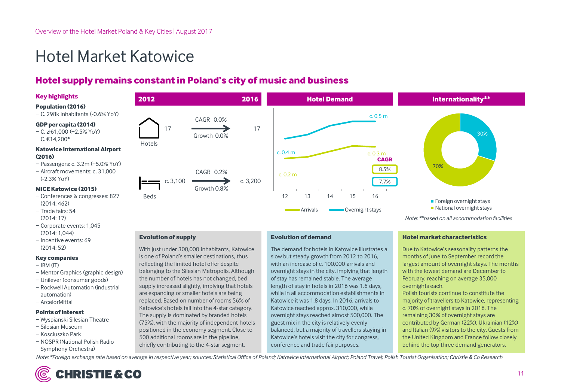## Hotel Market Katowice

### **Hotel supply remains constantin Poland's city of music and business**

#### **Key highlights**

#### **Population (2016)**

− C. 298k inhabitants (-0.6% YoY)

#### **GDP per capita (2014)**

− C. zł61,000 (+2.5% YoY) C. €14,200\*

#### **Katowice International Airport (2016)**

- − Passengers: c. 3.2m (+5.0% YoY)
- − Aircraft movements: c. 31,000 (-2.3% YoY)

#### **MICE Katowice (2015)**

- − Conferences & congresses: 827 (2014: 462)
- − Trade fairs: 54 (2014: 17)
- − Corporate events: 1,045 (2014: 1,044)
- − Incentive events: 69 (2014: 52)

#### **Key companies**

- − IBM (IT)
- − Mentor Graphics (graphic design)
- − Unilever (consumer goods)
- − Rockwell Automation (industrial automation)
- − ArcelorMittal

#### **Points of interest**

- − Wyspianski Silesian Theatre
- − Silesian Museum
- − Kosciuszko Park
- − NOSPR (National Polish Radio Symphony Orchestra)

![](_page_10_Figure_27.jpeg)

#### **Evolution of supply**

With just under 300,000 inhabitants, Katowice is one of Poland's smaller destinations, thus reflecting the limited hotel offer despite belonging to the Silesian Metropolis. Although the number of hotels has not changed, bed supply increased slightly, implying that hotels are expanding or smaller hotels are being replaced. Based on number of rooms 56% of Katowice's hotels fall into the 4-star category. The supply is dominated by branded hotels (75%), with the majority of independent hotels positioned in the economy segment. Close to 500 additional rooms are in the pipeline, chiefly contributing to the 4-star segment.

#### **Evolution of demand**

The demand for hotels in Katowice illustrates a slow but steady growth from 2012 to 2016, with an increase of c. 100,000 arrivals and overnight stays in the city, implying that length of stay has remained stable. The average length of stay in hotels in 2016 was 1.6 days, while in all accommodation establishments in Katowice it was 1.8 days. In 2016, arrivals to Katowice reached approx. 310,000, while overnight stays reached almost 500,000. The guest mix in the city is relatively evenly balanced, but a majority of travellers staying in Katowice's hotels visit the city for congress, conference and trade fair purposes.

#### **Hotel market characteristics**

Due to Katowice's seasonality patterns the months of June to September record the largest amount of overnight stays. The months with the lowest demand are December to February, reaching on average 35,000 overnights each. Polish tourists continue to constitute the majority of travellers to Katowice, representing

c. 70% of overnight stays in 2016. The remaining 30% of overnight stays are contributed by German (22%), Ukrainian (12%) and Italian (9%) visitors to the city. Guests from the United Kingdom and France follow closely behind the top three demand generators.

*Note: \*Foreign exchange rate based on average in respective year; sources: Statistical Office of Poland; Katowice International Airport; Poland Travel; Polish Tourist Organisation; Christie & Co Research*

![](_page_10_Picture_36.jpeg)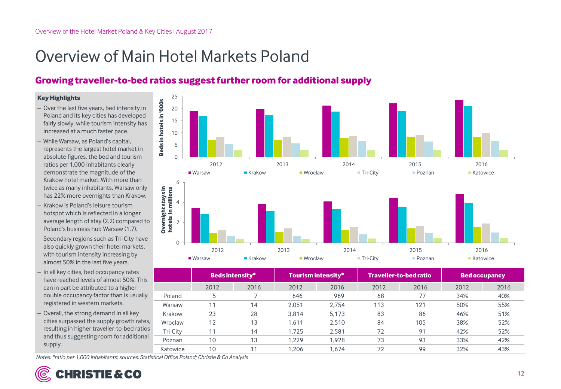## Overview of Main Hotel Markets Poland

## **Growing traveller-to-bed ratios suggest further room for additional supply**

#### **Key Highlights**

- Over the last five years, bed intensity in Poland and its key cities has developed fairly slowly, while tourism intensity has increased at a much faster pace.
- While Warsaw, as Poland's capital, represents the largest hotel market in absolute figures, the bed and tourism ratios per 1,000 inhabitants clearly demonstrate the magnitude of the Krakow hotel market. With more than twice as many inhabitants, Warsaw only has 22% more overnights than Krakow.
- Krakow is Poland's leisure tourism hotspot which is reflected in a longer average length of stay (2.2) compared to Poland's business hub Warsaw (1.7).
- Secondary regions such as Tri-City have also quickly grown their hotel markets, with tourism intensity increasing by almost 50% in the last five years.
- In all key cities, bed occupancy rates have reached levels of almost 50%. This can in part be attributed to a higher double occupancy factor than is usually registered in western markets.
- Overall, the strong demand in all key cities surpassed the supply growth rates, resulting in higher traveller-to-bed ratios and thus suggesting room for additional supply.

![](_page_11_Figure_10.jpeg)

|          | <b>Beds intensity*</b> |      | Tourism intensity* |       | <b>Traveller-to-bed ratio</b> |      | <b>Bed occupancy</b> |      |
|----------|------------------------|------|--------------------|-------|-------------------------------|------|----------------------|------|
|          | 2012                   | 2016 | 2012               | 2016  | 2012                          | 2016 | 2012                 | 2016 |
| Poland   | 5                      |      | 646                | 969   | 68                            | 77   | 34%                  | 40%  |
| Warsaw   | 11                     | 14   | 2.051              | 2.754 | 113                           | 121  | 50%                  | 55%  |
| Krakow   | 23                     | 28   | 3,814              | 5,173 | 83                            | 86   | 46%                  | 51%  |
| Wroclaw  | 12                     | 13   | 1.611              | 2,510 | 84                            | 105  | 38%                  | 52%  |
| Tri-City | 11                     | 14   | 1.725              | 2.581 | 72                            | 91   | 42%                  | 52%  |
| Poznan   | 10                     | 13   | 1.229              | 1.928 | 73                            | 93   | 33%                  | 42%  |
| Katowice | 10                     | 11   | 1.206              | 1.674 | 72                            | 99   | 32%                  | 43%  |

*Notes: \*ratio per 1,000 inhabitants; sources: Statistical Office Poland; Christie & Co Analysis*

![](_page_11_Picture_13.jpeg)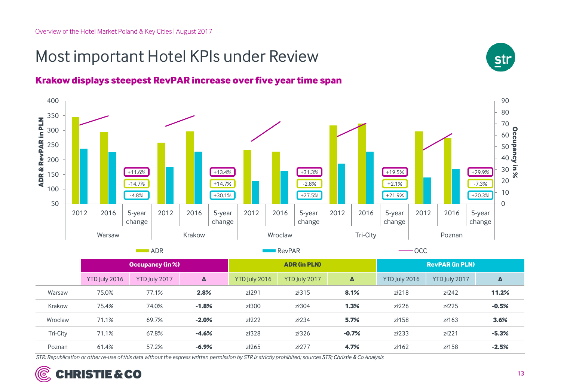## Most important Hotel KPIs under Review

![](_page_12_Figure_2.jpeg)

![](_page_12_Figure_3.jpeg)

ADR RevPAR OCC

|          | <b>Occupancy (in %)</b> |               |         | <b>ADR (in PLN)</b> |               |         | <b>RevPAR (in PLN)</b> |               |         |
|----------|-------------------------|---------------|---------|---------------------|---------------|---------|------------------------|---------------|---------|
|          | YTD July 2016           | YTD July 2017 | Δ       | YTD July 2016       | YTD July 2017 | Δ       | YTD July 2016          | YTD July 2017 | Δ       |
| Warsaw   | 75.0%                   | 77.1%         | 2.8%    | zł291               | zł315         | 8.1%    | zł218                  | zł242         | 11.2%   |
| Krakow   | 75.4%                   | 74.0%         | $-1.8%$ | zł300               | zł304         | 1.3%    | zł226                  | zł225         | $-0.5%$ |
| Wroclaw  | 71.1%                   | 69.7%         | $-2.0%$ | zł222               | zł234         | 5.7%    | zł158                  | zł163         | 3.6%    |
| Tri-City | 71.1%                   | 67.8%         | $-4.6%$ | zł328               | zł326         | $-0.7%$ | zł233                  | z/221         | $-5.3%$ |
| Poznan   | 61.4%                   | 57.2%         | $-6.9%$ | zł265               | zł277         | 4.7%    | $z$ ł162               | zł158         | $-2.5%$ |

*STR: Republication or other re-use of this data without the express written permission by STR is strictly prohibited; sources STR; Christie & Co Analysis*

![](_page_12_Picture_7.jpeg)

**str**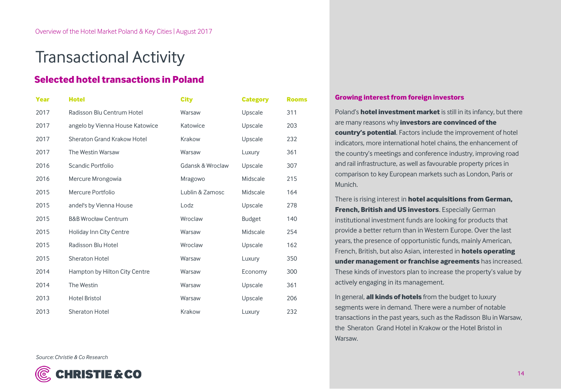## Transactional Activity

### **Selected hotel transactions in Poland**

| <b>Year</b> | <b>Hotel</b>                    | <b>City</b>      | <b>Category</b> | <b>Rooms</b> |
|-------------|---------------------------------|------------------|-----------------|--------------|
| 2017        | Radisson Blu Centrum Hotel      | Warsaw           | Upscale         | 311          |
| 2017        | angelo by Vienna House Katowice | Katowice         | Upscale         | 203          |
| 2017        | Sheraton Grand Krakow Hotel     | Krakow           | Upscale         | 232          |
| 2017        | The Westin Warsaw               | Warsaw           | Luxury          | 361          |
| 2016        | Scandic Portfolio               | Gdansk & Wroclaw | Upscale         | 307          |
| 2016        | Mercure Mrongowia               | Mragowo          | Midscale        | 215          |
| 2015        | Mercure Portfolio               | Lublin & Zamosc  | Midscale        | 164          |
| 2015        | andel's by Vienna House         | Lodz             | Upscale         | 278          |
| 2015        | <b>B&amp;B Wrocław Centrum</b>  | Wroclaw          | <b>Budget</b>   | 140          |
| 2015        | <b>Holiday Inn City Centre</b>  | Warsaw           | Midscale        | 254          |
| 2015        | Radisson Blu Hotel              | Wroclaw          | Upscale         | 162          |
| 2015        | <b>Sheraton Hotel</b>           | Warsaw           | Luxury          | 350          |
| 2014        | Hampton by Hilton City Centre   | Warsaw           | Economy         | 300          |
| 2014        | The Westin                      | Warsaw           | Upscale         | 361          |
| 2013        | <b>Hotel Bristol</b>            | Warsaw           | Upscale         | 206          |
| 2013        | Sheraton Hotel                  | Krakow           | Luxury          | 232          |

#### **Growing interest from foreign investors**

Poland's **hotel investment market** is still in its infancy, but there are many reasons why **investors are convinced of the country's potential**. Factors include the improvement of hotel indicators, more international hotel chains, the enhancement of the country's meetings and conference industry, improving road and rail infrastructure, as well as favourable property prices in comparison to key European markets such as London, Paris or Munich.

There is rising interest in **hotel acquisitions from German, French, British and US investors**. Especially German institutional investment funds are looking for products that provide a better return than in Western Europe. Over the last years, the presence of opportunistic funds, mainly American, French, British, but also Asian, interested in **hotels operating under management or franchise agreements** has increased. These kinds of investors plan to increase the property's value by actively engaging in its management.

In general, **all kinds of hotels** from the budget to luxury segments were in demand. There were a number of notable transactions in the past years, such as the Radisson Blu in Warsaw, the Sheraton Grand Hotel in Krakow or the Hotel Bristol in Warsaw.

*Source: Christie & Co Research*

![](_page_13_Picture_9.jpeg)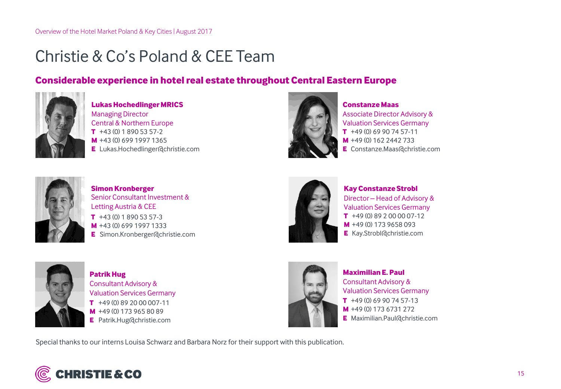## Christie & Co's Poland & CEE Team

### **Considerable experience in hotel real estate throughout Central Eastern Europe**

![](_page_14_Picture_3.jpeg)

Managing Director Central & Northern Europe **Lukas Hochedlinger MRICS** +43 (0) 699 1997 1365 **M** +43 (0) 1 890 53 57-2 **T** Lukas.Hochedlinger@christie.com **E**

![](_page_14_Picture_5.jpeg)

**Constanze Maas** +49 (0) 69 90 74 57-11 **T** +49 (0) 162 2442 733 **M** Constanze.Maas@christie.com **E** Associate Director Advisory & Valuation Services Germany

![](_page_14_Picture_7.jpeg)

**Simon Kronberger** Senior Consultant Investment & Letting Austria & CEE +43 (0) 1 890 53 57-3 **T** +43 (0) 699 1997 1333 **M** Simon.Kronberger@christie.com **E**

![](_page_14_Picture_9.jpeg)

**Kay Constanze Strobl** Director – Head of Advisory & Valuation Services Germany +49 (0) 89 2 00 00 07-12 **T** +49 (0) 173 9658 093 **M E** Kay.Strobl@christie.com

![](_page_14_Picture_11.jpeg)

**T** +49 (0) 89 20 00 007-11 **Patrik Hug** Consultant Advisory & Valuation Services Germany +49 (0) 173 965 80 89 **M** Patrik.Hug@christie.com **E**

![](_page_14_Picture_13.jpeg)

**Maximilian E. Paul** Consultant Advisory & Valuation Services Germany +49 (0) 69 90 74 57-13 **T** +49 (0) 173 6731 272 **M** Maximilian.Paul@christie.com **E**

Special thanks to our interns Louisa Schwarz and Barbara Norz for their support with this publication.

![](_page_14_Picture_16.jpeg)